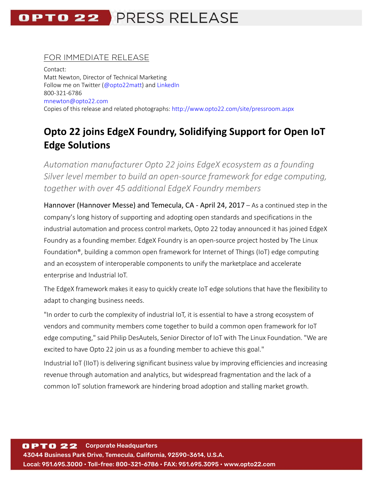# OPTO 22 PRESS RELEASE

### FOR IMMEDIATE RELEASE

Contact: Matt Newton, Director of Technical Marketing Follow me on Twitter ( $@$ opto22matt) and [LinkedIn](https://www.linkedin.com/in/matt-newton-a344741) 800-321-6786 [mnewton@opto22.com](mailto:mnewton@opto22.com) Copies of this release and related photographs:<http://www.opto22.com/site/pressroom.aspx>

## **Opto 22 joins EdgeX Foundry, Solidifying Support for Open IoT Edge Solutions**

*Automation manufacturer Opto 22 joins EdgeX ecosystem as a founding Silver level member to build an open-source framework for edge computing, together with over 45 additional EdgeX Foundry members*

Hannover (Hannover Messe) and Temecula, CA - April 24, 2017 – As a continued step in the company's long history of supporting and adopting open standards and specifications in the industrial automation and process control markets, Opto 22 today announced it has joined EdgeX Foundry as a founding member. EdgeX Foundry is an open-source project hosted by The Linux Foundation®, building a common open framework for Internet of Things (IoT) edge computing and an ecosystem of interoperable components to unify the marketplace and accelerate enterprise and Industrial IoT.

The EdgeX framework makes it easy to quickly create IoT edge solutions that have the flexibility to adapt to changing business needs.

"In order to curb the complexity of industrial IoT, it is essential to have a strong ecosystem of vendors and community members come together to build a common open framework for IoT edge computing," said Philip DesAutels, Senior Director of IoT with The Linux Foundation. "We are excited to have Opto 22 join us as a founding member to achieve this goal."

Industrial IoT (IIoT) is delivering significant business value by improving efficiencies and increasing revenue through automation and analytics, but widespread fragmentation and the lack of a common IoT solution framework are hindering broad adoption and stalling market growth.